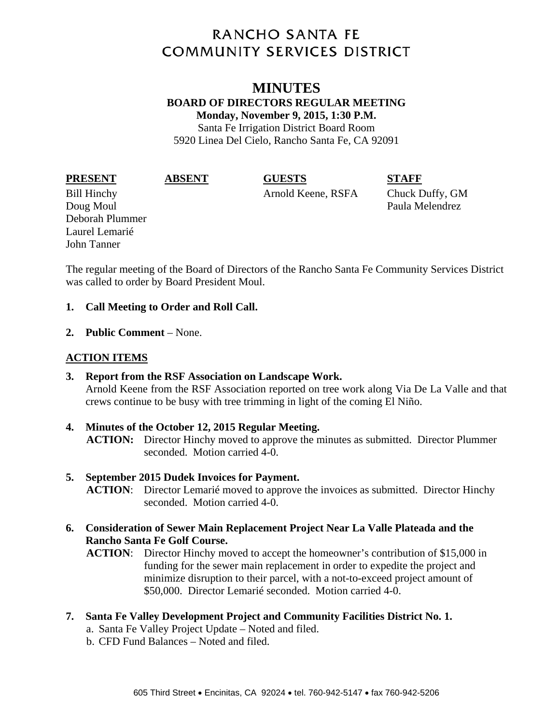# **RANCHO SANTA FE COMMUNITY SERVICES DISTRICT**

# **MINUTES BOARD OF DIRECTORS REGULAR MEETING Monday, November 9, 2015, 1:30 P.M.**  Santa Fe Irrigation District Board Room

5920 Linea Del Cielo, Rancho Santa Fe, CA 92091

**PRESENT ABSENT GUESTS STAFF** 

Bill Hinchy Arnold Keene, RSFA Chuck Duffy, GM Doug Moul **Paula Melendrez** 

The regular meeting of the Board of Directors of the Rancho Santa Fe Community Services District was called to order by Board President Moul.

### **1. Call Meeting to Order and Roll Call.**

**2. Public Comment** – None.

# **ACTION ITEMS**

Deborah Plummer Laurel Lemarié John Tanner

- **3. Report from the RSF Association on Landscape Work.**  Arnold Keene from the RSF Association reported on tree work along Via De La Valle and that crews continue to be busy with tree trimming in light of the coming El Niño.
- **4. Minutes of the October 12, 2015 Regular Meeting. ACTION:** Director Hinchy moved to approve the minutes as submitted. Director Plummer seconded. Motion carried 4-0.

## **5. September 2015 Dudek Invoices for Payment.**

**ACTION**: Director Lemarié moved to approve the invoices as submitted. Director Hinchy seconded. Motion carried 4-0.

**6. Consideration of Sewer Main Replacement Project Near La Valle Plateada and the Rancho Santa Fe Golf Course.** 

**ACTION**: Director Hinchy moved to accept the homeowner's contribution of \$15,000 in funding for the sewer main replacement in order to expedite the project and minimize disruption to their parcel, with a not-to-exceed project amount of \$50,000. Director Lemarié seconded. Motion carried 4-0.

- **7. Santa Fe Valley Development Project and Community Facilities District No. 1.** 
	- a. Santa Fe Valley Project Update Noted and filed.
	- b. CFD Fund Balances Noted and filed.